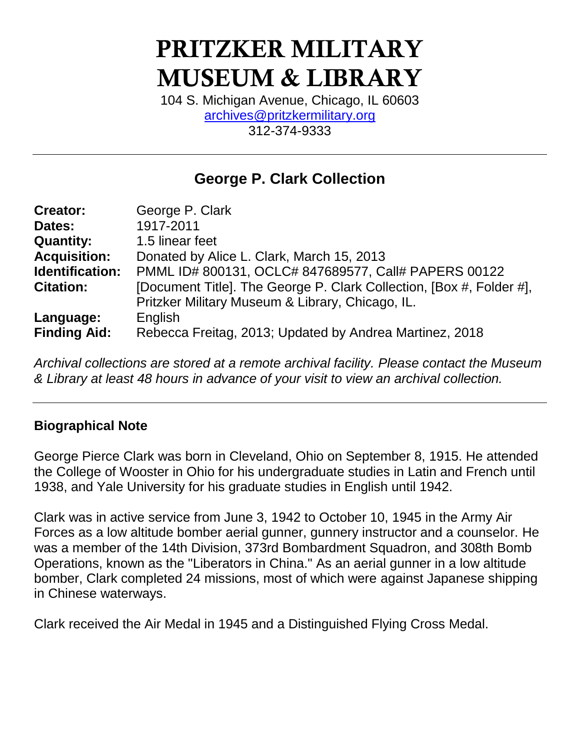# **PRITZKER MILITARY MUSEUM & LIBRARY**

104 S. Michigan Avenue, Chicago, IL 60603 [archives@pritzkermilitary.org](mailto:archives@pritzkermilitary.org) 312-374-9333

## **George P. Clark Collection**

| <b>Creator:</b>     | George P. Clark                                                      |
|---------------------|----------------------------------------------------------------------|
| Dates:              | 1917-2011                                                            |
| <b>Quantity:</b>    | 1.5 linear feet                                                      |
| <b>Acquisition:</b> | Donated by Alice L. Clark, March 15, 2013                            |
| Identification:     | PMML ID# 800131, OCLC# 847689577, Call# PAPERS 00122                 |
| <b>Citation:</b>    | [Document Title]. The George P. Clark Collection, [Box #, Folder #], |
|                     | Pritzker Military Museum & Library, Chicago, IL.                     |
| Language:           | English                                                              |
| <b>Finding Aid:</b> | Rebecca Freitag, 2013; Updated by Andrea Martinez, 2018              |

*Archival collections are stored at a remote archival facility. Please contact the Museum & Library at least 48 hours in advance of your visit to view an archival collection.*

#### **Biographical Note**

George Pierce Clark was born in Cleveland, Ohio on September 8, 1915. He attended the College of Wooster in Ohio for his undergraduate studies in Latin and French until 1938, and Yale University for his graduate studies in English until 1942.

Clark was in active service from June 3, 1942 to October 10, 1945 in the Army Air Forces as a low altitude bomber aerial gunner, gunnery instructor and a counselor. He was a member of the 14th Division, 373rd Bombardment Squadron, and 308th Bomb Operations, known as the "Liberators in China." As an aerial gunner in a low altitude bomber, Clark completed 24 missions, most of which were against Japanese shipping in Chinese waterways.

Clark received the Air Medal in 1945 and a Distinguished Flying Cross Medal.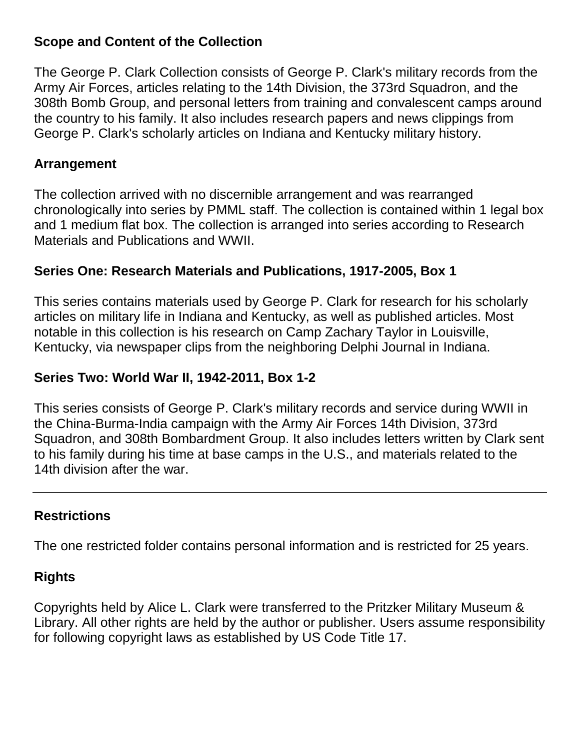#### **Scope and Content of the Collection**

The George P. Clark Collection consists of George P. Clark's military records from the Army Air Forces, articles relating to the 14th Division, the 373rd Squadron, and the 308th Bomb Group, and personal letters from training and convalescent camps around the country to his family. It also includes research papers and news clippings from George P. Clark's scholarly articles on Indiana and Kentucky military history.

#### **Arrangement**

The collection arrived with no discernible arrangement and was rearranged chronologically into series by PMML staff. The collection is contained within 1 legal box and 1 medium flat box. The collection is arranged into series according to Research Materials and Publications and WWII.

#### **Series One: Research Materials and Publications, 1917-2005, Box 1**

This series contains materials used by George P. Clark for research for his scholarly articles on military life in Indiana and Kentucky, as well as published articles. Most notable in this collection is his research on Camp Zachary Taylor in Louisville, Kentucky, via newspaper clips from the neighboring Delphi Journal in Indiana.

#### **Series Two: World War II, 1942-2011, Box 1-2**

This series consists of George P. Clark's military records and service during WWII in the China-Burma-India campaign with the Army Air Forces 14th Division, 373rd Squadron, and 308th Bombardment Group. It also includes letters written by Clark sent to his family during his time at base camps in the U.S., and materials related to the 14th division after the war.

#### **Restrictions**

The one restricted folder contains personal information and is restricted for 25 years.

#### **Rights**

Copyrights held by Alice L. Clark were transferred to the Pritzker Military Museum & Library. All other rights are held by the author or publisher. Users assume responsibility for following copyright laws as established by US Code Title 17.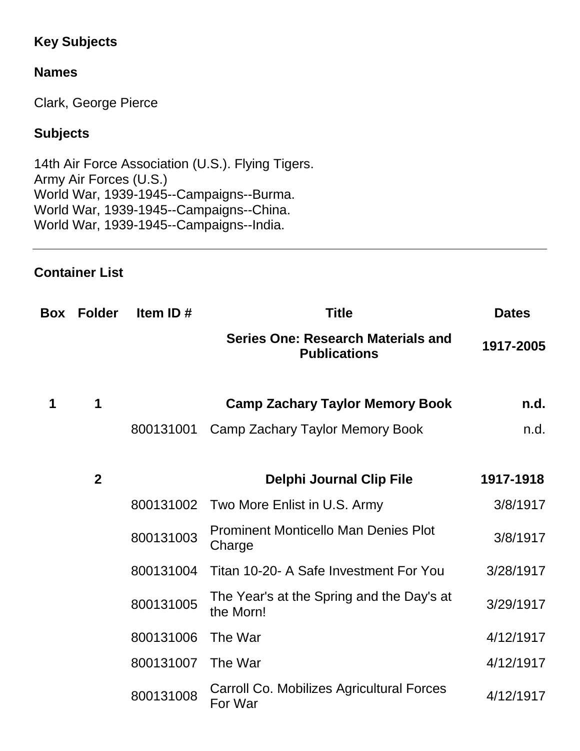### **Key Subjects**

#### **Names**

Clark, George Pierce

#### **Subjects**

14th Air Force Association (U.S.). Flying Tigers. Army Air Forces (U.S.) World War, 1939-1945--Campaigns--Burma. World War, 1939-1945--Campaigns--China. World War, 1939-1945--Campaigns--India.

#### **Container List**

| Box | <b>Folder</b> | Item ID#  | <b>Title</b>                                                     | <b>Dates</b> |
|-----|---------------|-----------|------------------------------------------------------------------|--------------|
|     |               |           | <b>Series One: Research Materials and</b><br><b>Publications</b> | 1917-2005    |
| 1   | 1             |           | <b>Camp Zachary Taylor Memory Book</b>                           | n.d.         |
|     |               | 800131001 | Camp Zachary Taylor Memory Book                                  | n.d.         |
|     | $\mathbf{2}$  |           | <b>Delphi Journal Clip File</b>                                  | 1917-1918    |
|     |               | 800131002 | Two More Enlist in U.S. Army                                     | 3/8/1917     |
|     |               | 800131003 | <b>Prominent Monticello Man Denies Plot</b><br>Charge            | 3/8/1917     |
|     |               | 800131004 | Titan 10-20- A Safe Investment For You                           | 3/28/1917    |
|     |               | 800131005 | The Year's at the Spring and the Day's at<br>the Morn!           | 3/29/1917    |
|     |               | 800131006 | The War                                                          | 4/12/1917    |
|     |               | 800131007 | The War                                                          | 4/12/1917    |
|     |               | 800131008 | Carroll Co. Mobilizes Agricultural Forces<br>For War             | 4/12/1917    |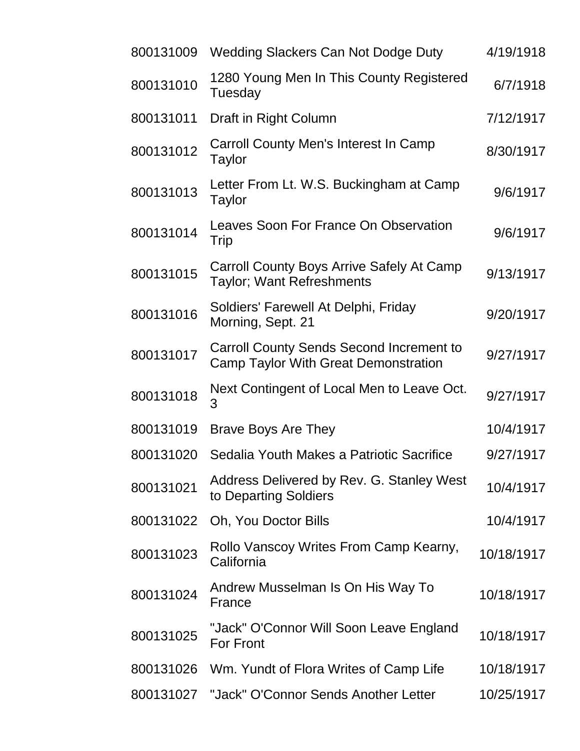| <b>Wedding Slackers Can Not Dodge Duty</b>                                                     | 4/19/1918  |
|------------------------------------------------------------------------------------------------|------------|
| 1280 Young Men In This County Registered<br>Tuesday                                            | 6/7/1918   |
| Draft in Right Column                                                                          | 7/12/1917  |
| Carroll County Men's Interest In Camp<br>Taylor                                                | 8/30/1917  |
| Letter From Lt. W.S. Buckingham at Camp<br>Taylor                                              | 9/6/1917   |
| Leaves Soon For France On Observation<br>Trip                                                  | 9/6/1917   |
| Carroll County Boys Arrive Safely At Camp<br><b>Taylor</b> ; Want Refreshments                 | 9/13/1917  |
| Soldiers' Farewell At Delphi, Friday<br>Morning, Sept. 21                                      | 9/20/1917  |
| <b>Carroll County Sends Second Increment to</b><br><b>Camp Taylor With Great Demonstration</b> | 9/27/1917  |
| Next Contingent of Local Men to Leave Oct.<br>3                                                | 9/27/1917  |
| Brave Boys Are They                                                                            | 10/4/1917  |
| Sedalia Youth Makes a Patriotic Sacrifice                                                      | 9/27/1917  |
| Address Delivered by Rev. G. Stanley West<br>to Departing Soldiers                             | 10/4/1917  |
| Oh, You Doctor Bills                                                                           | 10/4/1917  |
| Rollo Vanscoy Writes From Camp Kearny,<br>California                                           | 10/18/1917 |
| Andrew Musselman Is On His Way To<br>France                                                    | 10/18/1917 |
| "Jack" O'Connor Will Soon Leave England<br><b>For Front</b>                                    | 10/18/1917 |
| Wm. Yundt of Flora Writes of Camp Life                                                         | 10/18/1917 |
| "Jack" O'Connor Sends Another Letter                                                           | 10/25/1917 |
|                                                                                                |            |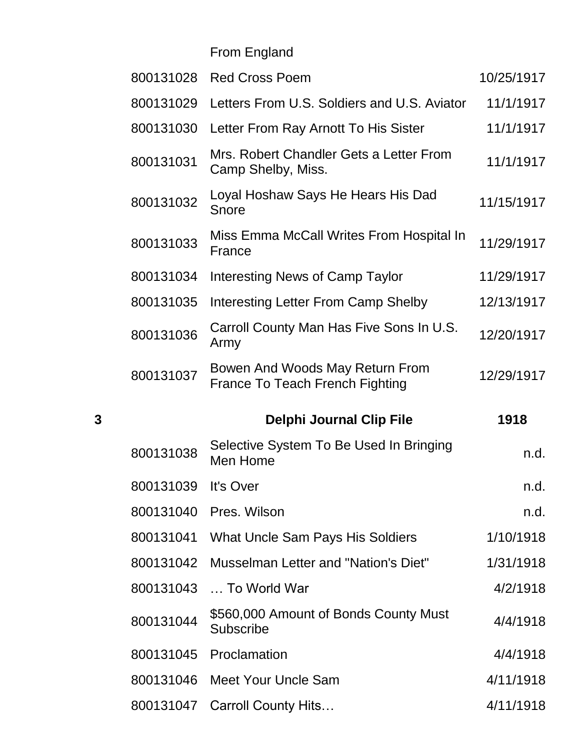From England

|   | 800131028 | <b>Red Cross Poem</b>                                              | 10/25/1917 |
|---|-----------|--------------------------------------------------------------------|------------|
|   | 800131029 | Letters From U.S. Soldiers and U.S. Aviator                        | 11/1/1917  |
|   | 800131030 | Letter From Ray Arnott To His Sister                               | 11/1/1917  |
|   | 800131031 | Mrs. Robert Chandler Gets a Letter From<br>Camp Shelby, Miss.      | 11/1/1917  |
|   | 800131032 | Loyal Hoshaw Says He Hears His Dad<br>Snore                        | 11/15/1917 |
|   | 800131033 | Miss Emma McCall Writes From Hospital In<br>France                 | 11/29/1917 |
|   | 800131034 | Interesting News of Camp Taylor                                    | 11/29/1917 |
|   | 800131035 | Interesting Letter From Camp Shelby                                | 12/13/1917 |
|   | 800131036 | Carroll County Man Has Five Sons In U.S.<br>Army                   | 12/20/1917 |
|   | 800131037 | Bowen And Woods May Return From<br>France To Teach French Fighting | 12/29/1917 |
|   |           |                                                                    |            |
| 3 |           | <b>Delphi Journal Clip File</b>                                    | 1918       |
|   | 800131038 | Selective System To Be Used In Bringing<br>Men Home                | n.d.       |
|   | 800131039 | It's Over                                                          | n.d.       |
|   |           | 800131040 Pres. Wilson                                             | n.d.       |
|   | 800131041 | What Uncle Sam Pays His Soldiers                                   | 1/10/1918  |
|   | 800131042 | Musselman Letter and "Nation's Diet"                               | 1/31/1918  |
|   | 800131043 | To World War                                                       | 4/2/1918   |
|   | 800131044 | \$560,000 Amount of Bonds County Must<br><b>Subscribe</b>          | 4/4/1918   |
|   | 800131045 | Proclamation                                                       | 4/4/1918   |
|   | 800131046 | <b>Meet Your Uncle Sam</b>                                         | 4/11/1918  |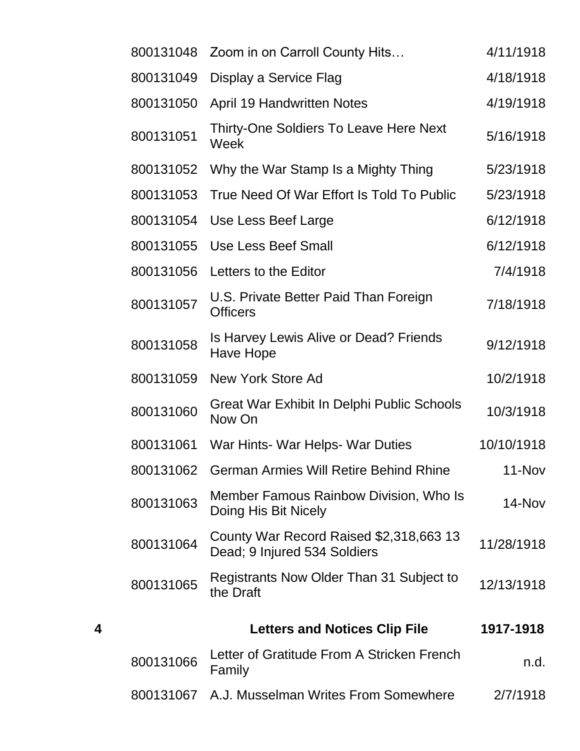|   | 800131048 | Zoom in on Carroll County Hits                                          | 4/11/1918  |
|---|-----------|-------------------------------------------------------------------------|------------|
|   | 800131049 | Display a Service Flag                                                  | 4/18/1918  |
|   | 800131050 | <b>April 19 Handwritten Notes</b>                                       | 4/19/1918  |
|   | 800131051 | <b>Thirty-One Soldiers To Leave Here Next</b><br>Week                   | 5/16/1918  |
|   | 800131052 | Why the War Stamp Is a Mighty Thing                                     | 5/23/1918  |
|   | 800131053 | True Need Of War Effort Is Told To Public                               | 5/23/1918  |
|   | 800131054 | Use Less Beef Large                                                     | 6/12/1918  |
|   | 800131055 | <b>Use Less Beef Small</b>                                              | 6/12/1918  |
|   | 800131056 | Letters to the Editor                                                   | 7/4/1918   |
|   | 800131057 | U.S. Private Better Paid Than Foreign<br><b>Officers</b>                | 7/18/1918  |
|   | 800131058 | Is Harvey Lewis Alive or Dead? Friends<br>Have Hope                     | 9/12/1918  |
|   | 800131059 | New York Store Ad                                                       | 10/2/1918  |
|   | 800131060 | Great War Exhibit In Delphi Public Schools<br>Now On                    | 10/3/1918  |
|   | 800131061 | War Hints- War Helps- War Duties                                        | 10/10/1918 |
|   | 800131062 | <b>German Armies Will Retire Behind Rhine</b>                           | 11-Nov     |
|   | 800131063 | Member Famous Rainbow Division, Who Is<br>Doing His Bit Nicely          | 14-Nov     |
|   | 800131064 | County War Record Raised \$2,318,663 13<br>Dead; 9 Injured 534 Soldiers | 11/28/1918 |
|   | 800131065 | Registrants Now Older Than 31 Subject to<br>the Draft                   | 12/13/1918 |
| 4 |           | <b>Letters and Notices Clip File</b>                                    | 1917-1918  |
|   | 800131066 | Letter of Gratitude From A Stricken French<br>Family                    | n.d.       |
|   | 800131067 | A.J. Musselman Writes From Somewhere                                    | 2/7/1918   |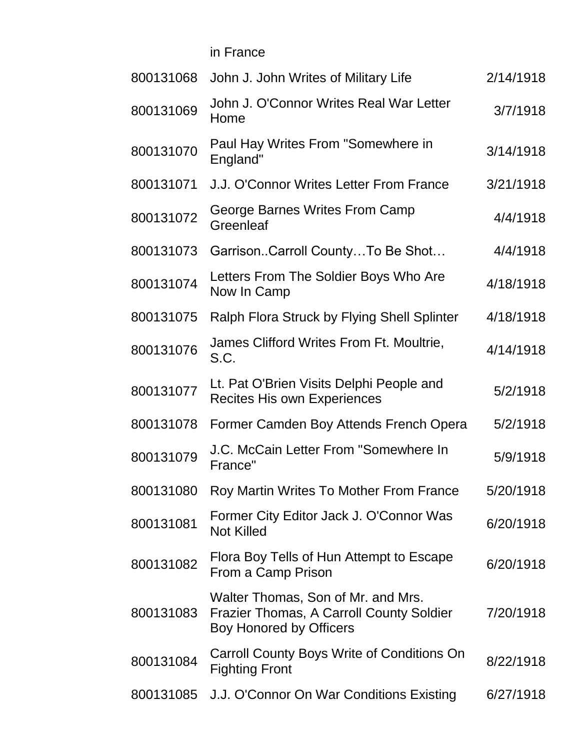in France

| 800131068 | John J. John Writes of Military Life                                                                      | 2/14/1918 |
|-----------|-----------------------------------------------------------------------------------------------------------|-----------|
| 800131069 | John J. O'Connor Writes Real War Letter<br>Home                                                           | 3/7/1918  |
| 800131070 | Paul Hay Writes From "Somewhere in<br>England"                                                            | 3/14/1918 |
| 800131071 | J.J. O'Connor Writes Letter From France                                                                   | 3/21/1918 |
| 800131072 | George Barnes Writes From Camp<br>Greenleaf                                                               | 4/4/1918  |
| 800131073 | GarrisonCarroll CountyTo Be Shot                                                                          | 4/4/1918  |
| 800131074 | Letters From The Soldier Boys Who Are<br>Now In Camp                                                      | 4/18/1918 |
| 800131075 | Ralph Flora Struck by Flying Shell Splinter                                                               | 4/18/1918 |
| 800131076 | James Clifford Writes From Ft. Moultrie,<br>S.C.                                                          | 4/14/1918 |
| 800131077 | Lt. Pat O'Brien Visits Delphi People and<br><b>Recites His own Experiences</b>                            | 5/2/1918  |
| 800131078 | Former Camden Boy Attends French Opera                                                                    | 5/2/1918  |
| 800131079 | J.C. McCain Letter From "Somewhere In<br>France"                                                          | 5/9/1918  |
| 800131080 | Roy Martin Writes To Mother From France                                                                   | 5/20/1918 |
| 800131081 | Former City Editor Jack J. O'Connor Was<br><b>Not Killed</b>                                              | 6/20/1918 |
| 800131082 | Flora Boy Tells of Hun Attempt to Escape<br>From a Camp Prison                                            | 6/20/1918 |
| 800131083 | Walter Thomas, Son of Mr. and Mrs.<br>Frazier Thomas, A Carroll County Soldier<br>Boy Honored by Officers | 7/20/1918 |
| 800131084 | Carroll County Boys Write of Conditions On<br><b>Fighting Front</b>                                       | 8/22/1918 |
| 800131085 | J.J. O'Connor On War Conditions Existing                                                                  | 6/27/1918 |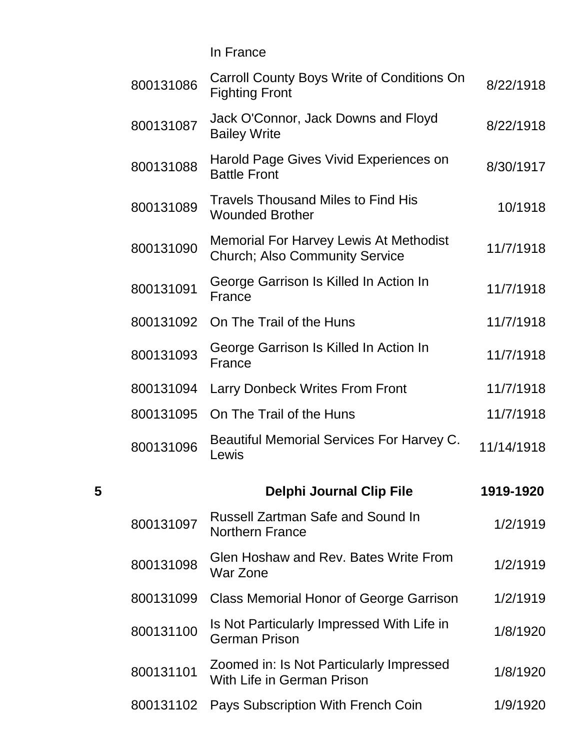In France

|   | 800131086 | Carroll County Boys Write of Conditions On<br><b>Fighting Front</b>                    | 8/22/1918  |
|---|-----------|----------------------------------------------------------------------------------------|------------|
|   | 800131087 | Jack O'Connor, Jack Downs and Floyd<br><b>Bailey Write</b>                             | 8/22/1918  |
|   | 800131088 | Harold Page Gives Vivid Experiences on<br><b>Battle Front</b>                          | 8/30/1917  |
|   | 800131089 | <b>Travels Thousand Miles to Find His</b><br><b>Wounded Brother</b>                    | 10/1918    |
|   | 800131090 | <b>Memorial For Harvey Lewis At Methodist</b><br><b>Church; Also Community Service</b> | 11/7/1918  |
|   | 800131091 | George Garrison Is Killed In Action In<br>France                                       | 11/7/1918  |
|   | 800131092 | On The Trail of the Huns                                                               | 11/7/1918  |
|   | 800131093 | George Garrison Is Killed In Action In<br>France                                       | 11/7/1918  |
|   | 800131094 | <b>Larry Donbeck Writes From Front</b>                                                 | 11/7/1918  |
|   | 800131095 | On The Trail of the Huns                                                               | 11/7/1918  |
|   | 800131096 | Beautiful Memorial Services For Harvey C.<br>Lewis                                     | 11/14/1918 |
| 5 |           | <b>Delphi Journal Clip File</b>                                                        | 1919-1920  |
|   | 800131097 | <b>Russell Zartman Safe and Sound In</b><br><b>Northern France</b>                     | 1/2/1919   |
|   | 800131098 | Glen Hoshaw and Rev. Bates Write From<br>War Zone                                      | 1/2/1919   |
|   | 800131099 | <b>Class Memorial Honor of George Garrison</b>                                         | 1/2/1919   |
|   | 800131100 | Is Not Particularly Impressed With Life in<br><b>German Prison</b>                     | 1/8/1920   |
|   | 800131101 | Zoomed in: Is Not Particularly Impressed<br>With Life in German Prison                 | 1/8/1920   |
|   | 800131102 | Pays Subscription With French Coin                                                     | 1/9/1920   |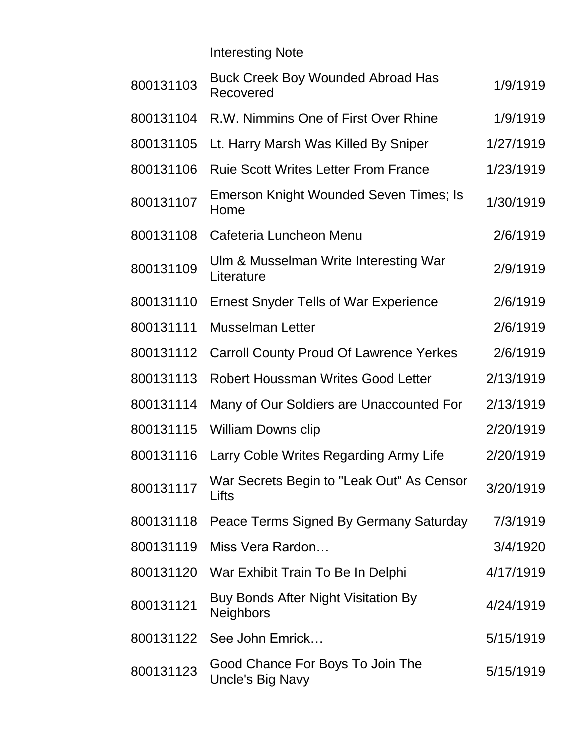Interesting Note

| 800131103 | <b>Buck Creek Boy Wounded Abroad Has</b><br>Recovered   | 1/9/1919  |
|-----------|---------------------------------------------------------|-----------|
| 800131104 | R.W. Nimmins One of First Over Rhine                    | 1/9/1919  |
| 800131105 | Lt. Harry Marsh Was Killed By Sniper                    | 1/27/1919 |
| 800131106 | <b>Ruie Scott Writes Letter From France</b>             | 1/23/1919 |
| 800131107 | Emerson Knight Wounded Seven Times; Is<br>Home          | 1/30/1919 |
| 800131108 | Cafeteria Luncheon Menu                                 | 2/6/1919  |
| 800131109 | Ulm & Musselman Write Interesting War<br>Literature     | 2/9/1919  |
| 800131110 | <b>Ernest Snyder Tells of War Experience</b>            | 2/6/1919  |
| 800131111 | <b>Musselman Letter</b>                                 | 2/6/1919  |
| 800131112 | <b>Carroll County Proud Of Lawrence Yerkes</b>          | 2/6/1919  |
| 800131113 | <b>Robert Houssman Writes Good Letter</b>               | 2/13/1919 |
| 800131114 | Many of Our Soldiers are Unaccounted For                | 2/13/1919 |
| 800131115 | <b>William Downs clip</b>                               | 2/20/1919 |
| 800131116 | Larry Coble Writes Regarding Army Life                  | 2/20/1919 |
| 800131117 | War Secrets Begin to "Leak Out" As Censor<br>Lifts      | 3/20/1919 |
| 800131118 | Peace Terms Signed By Germany Saturday                  | 7/3/1919  |
| 800131119 | Miss Vera Rardon                                        | 3/4/1920  |
| 800131120 | War Exhibit Train To Be In Delphi                       | 4/17/1919 |
| 800131121 | Buy Bonds After Night Visitation By<br><b>Neighbors</b> | 4/24/1919 |
| 800131122 | See John Emrick                                         | 5/15/1919 |
| 800131123 | Good Chance For Boys To Join The<br>Uncle's Big Navy    | 5/15/1919 |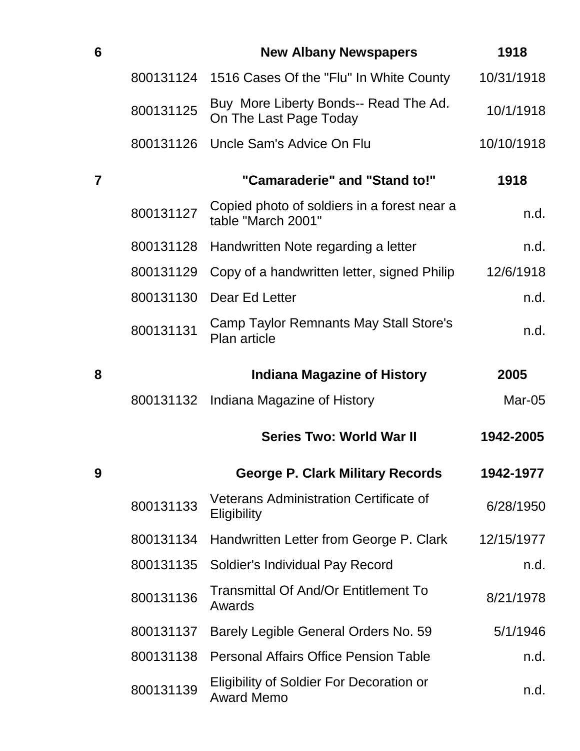| 6 |           | <b>New Albany Newspapers</b>                                         | 1918       |
|---|-----------|----------------------------------------------------------------------|------------|
|   | 800131124 | 1516 Cases Of the "Flu" In White County                              | 10/31/1918 |
|   | 800131125 | Buy More Liberty Bonds-- Read The Ad.<br>On The Last Page Today      | 10/1/1918  |
|   |           | 800131126 Uncle Sam's Advice On Flu                                  | 10/10/1918 |
| 7 |           | "Camaraderie" and "Stand to!"                                        | 1918       |
|   | 800131127 | Copied photo of soldiers in a forest near a<br>table "March 2001"    | n.d.       |
|   | 800131128 | Handwritten Note regarding a letter                                  | n.d.       |
|   | 800131129 | Copy of a handwritten letter, signed Philip                          | 12/6/1918  |
|   | 800131130 | Dear Ed Letter                                                       | n.d.       |
|   | 800131131 | Camp Taylor Remnants May Stall Store's<br><b>Plan article</b>        | n.d.       |
| 8 |           | <b>Indiana Magazine of History</b>                                   | 2005       |
|   |           | 800131132 Indiana Magazine of History                                | Mar-05     |
|   |           | <b>Series Two: World War II</b>                                      | 1942-2005  |
| 9 |           | <b>George P. Clark Military Records</b>                              | 1942-1977  |
|   | 800131133 | <b>Veterans Administration Certificate of</b><br>Eligibility         | 6/28/1950  |
|   | 800131134 | Handwritten Letter from George P. Clark                              | 12/15/1977 |
|   | 800131135 | Soldier's Individual Pay Record                                      | n.d.       |
|   | 800131136 | <b>Transmittal Of And/Or Entitlement To</b><br>Awards                | 8/21/1978  |
|   | 800131137 | Barely Legible General Orders No. 59                                 | 5/1/1946   |
|   | 800131138 | <b>Personal Affairs Office Pension Table</b>                         | n.d.       |
|   | 800131139 | <b>Eligibility of Soldier For Decoration or</b><br><b>Award Memo</b> | n.d.       |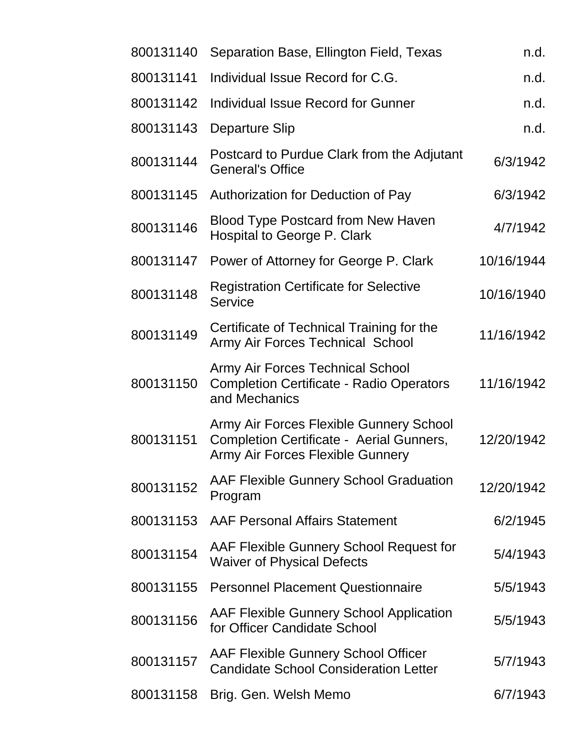| 800131140 | Separation Base, Ellington Field, Texas                                                                                 | n.d.       |
|-----------|-------------------------------------------------------------------------------------------------------------------------|------------|
| 800131141 | Individual Issue Record for C.G.                                                                                        | n.d.       |
| 800131142 | Individual Issue Record for Gunner                                                                                      | n.d.       |
| 800131143 | Departure Slip                                                                                                          | n.d.       |
| 800131144 | Postcard to Purdue Clark from the Adjutant<br><b>General's Office</b>                                                   | 6/3/1942   |
| 800131145 | Authorization for Deduction of Pay                                                                                      | 6/3/1942   |
| 800131146 | <b>Blood Type Postcard from New Haven</b><br>Hospital to George P. Clark                                                | 4/7/1942   |
| 800131147 | Power of Attorney for George P. Clark                                                                                   | 10/16/1944 |
| 800131148 | <b>Registration Certificate for Selective</b><br>Service                                                                | 10/16/1940 |
| 800131149 | Certificate of Technical Training for the<br>Army Air Forces Technical School                                           | 11/16/1942 |
| 800131150 | <b>Army Air Forces Technical School</b><br><b>Completion Certificate - Radio Operators</b><br>and Mechanics             | 11/16/1942 |
| 800131151 | Army Air Forces Flexible Gunnery School<br>Completion Certificate - Aerial Gunners,<br>Army Air Forces Flexible Gunnery | 12/20/1942 |
| 800131152 | <b>AAF Flexible Gunnery School Graduation</b><br>Program                                                                | 12/20/1942 |
| 800131153 | <b>AAF Personal Affairs Statement</b>                                                                                   | 6/2/1945   |
| 800131154 | AAF Flexible Gunnery School Request for<br><b>Waiver of Physical Defects</b>                                            | 5/4/1943   |
| 800131155 | <b>Personnel Placement Questionnaire</b>                                                                                | 5/5/1943   |
| 800131156 | AAF Flexible Gunnery School Application<br>for Officer Candidate School                                                 | 5/5/1943   |
| 800131157 | <b>AAF Flexible Gunnery School Officer</b><br><b>Candidate School Consideration Letter</b>                              | 5/7/1943   |
| 800131158 | Brig. Gen. Welsh Memo                                                                                                   | 6/7/1943   |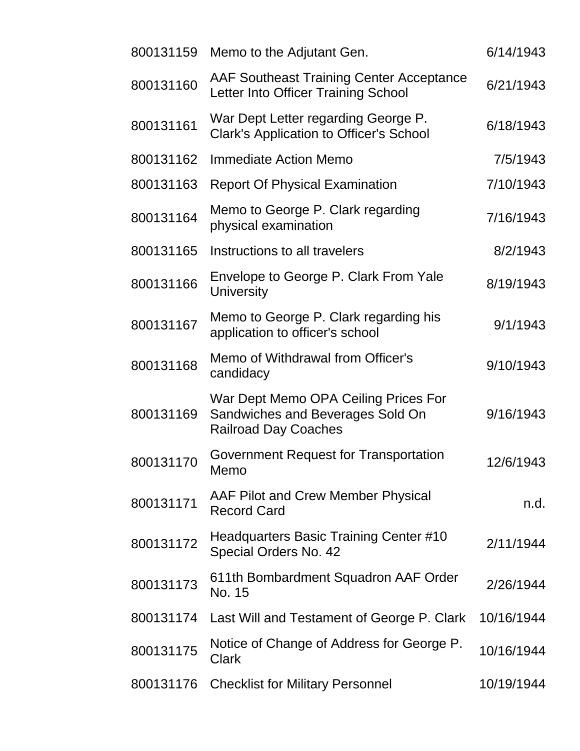| 800131159 | Memo to the Adjutant Gen.                                                                               | 6/14/1943  |
|-----------|---------------------------------------------------------------------------------------------------------|------------|
| 800131160 | <b>AAF Southeast Training Center Acceptance</b><br>Letter Into Officer Training School                  | 6/21/1943  |
| 800131161 | War Dept Letter regarding George P.<br><b>Clark's Application to Officer's School</b>                   | 6/18/1943  |
| 800131162 | Immediate Action Memo                                                                                   | 7/5/1943   |
| 800131163 | <b>Report Of Physical Examination</b>                                                                   | 7/10/1943  |
| 800131164 | Memo to George P. Clark regarding<br>physical examination                                               | 7/16/1943  |
| 800131165 | Instructions to all travelers                                                                           | 8/2/1943   |
| 800131166 | Envelope to George P. Clark From Yale<br><b>University</b>                                              | 8/19/1943  |
| 800131167 | Memo to George P. Clark regarding his<br>application to officer's school                                | 9/1/1943   |
| 800131168 | Memo of Withdrawal from Officer's<br>candidacy                                                          | 9/10/1943  |
| 800131169 | War Dept Memo OPA Ceiling Prices For<br>Sandwiches and Beverages Sold On<br><b>Railroad Day Coaches</b> | 9/16/1943  |
| 800131170 | Government Request for Transportation<br>Memo                                                           | 12/6/1943  |
| 800131171 | AAF Pilot and Crew Member Physical<br><b>Record Card</b>                                                | n.d.       |
| 800131172 | Headquarters Basic Training Center #10<br>Special Orders No. 42                                         | 2/11/1944  |
| 800131173 | 611th Bombardment Squadron AAF Order<br>No. 15                                                          | 2/26/1944  |
| 800131174 | Last Will and Testament of George P. Clark                                                              | 10/16/1944 |
| 800131175 | Notice of Change of Address for George P.<br><b>Clark</b>                                               | 10/16/1944 |
| 800131176 | <b>Checklist for Military Personnel</b>                                                                 | 10/19/1944 |
|           |                                                                                                         |            |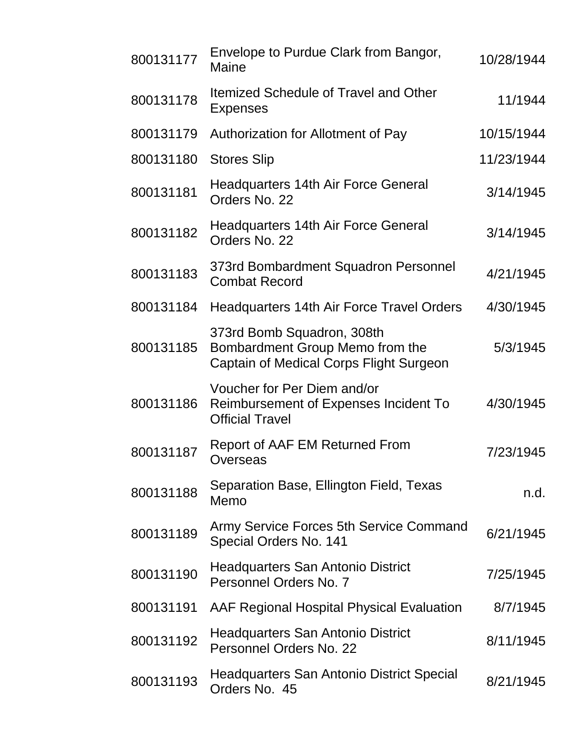| 800131177 | Envelope to Purdue Clark from Bangor,<br>Maine                                                           | 10/28/1944 |
|-----------|----------------------------------------------------------------------------------------------------------|------------|
| 800131178 | <b>Itemized Schedule of Travel and Other</b><br><b>Expenses</b>                                          | 11/1944    |
| 800131179 | Authorization for Allotment of Pay                                                                       | 10/15/1944 |
| 800131180 | <b>Stores Slip</b>                                                                                       | 11/23/1944 |
| 800131181 | <b>Headquarters 14th Air Force General</b><br>Orders No. 22                                              | 3/14/1945  |
| 800131182 | <b>Headquarters 14th Air Force General</b><br>Orders No. 22                                              | 3/14/1945  |
| 800131183 | 373rd Bombardment Squadron Personnel<br><b>Combat Record</b>                                             | 4/21/1945  |
| 800131184 | Headquarters 14th Air Force Travel Orders                                                                | 4/30/1945  |
| 800131185 | 373rd Bomb Squadron, 308th<br>Bombardment Group Memo from the<br>Captain of Medical Corps Flight Surgeon | 5/3/1945   |
| 800131186 | Voucher for Per Diem and/or<br>Reimbursement of Expenses Incident To<br><b>Official Travel</b>           | 4/30/1945  |
| 800131187 | Report of AAF EM Returned From<br>Overseas                                                               | 7/23/1945  |
| 800131188 | Separation Base, Ellington Field, Texas<br>Memo                                                          | n.d.       |
| 800131189 | Army Service Forces 5th Service Command<br>Special Orders No. 141                                        | 6/21/1945  |
| 800131190 | Headquarters San Antonio District<br>Personnel Orders No. 7                                              | 7/25/1945  |
| 800131191 | AAF Regional Hospital Physical Evaluation                                                                | 8/7/1945   |
| 800131192 | Headquarters San Antonio District<br>Personnel Orders No. 22                                             | 8/11/1945  |
| 800131193 | <b>Headquarters San Antonio District Special</b><br>Orders No. 45                                        | 8/21/1945  |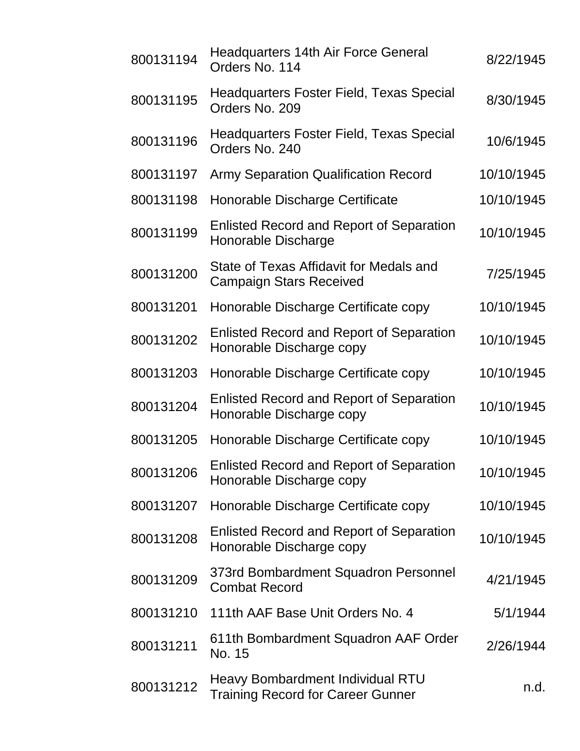| 800131194 | <b>Headquarters 14th Air Force General</b><br>Orders No. 114                 | 8/22/1945  |
|-----------|------------------------------------------------------------------------------|------------|
| 800131195 | <b>Headquarters Foster Field, Texas Special</b><br>Orders No. 209            | 8/30/1945  |
| 800131196 | <b>Headquarters Foster Field, Texas Special</b><br>Orders No. 240            | 10/6/1945  |
| 800131197 | <b>Army Separation Qualification Record</b>                                  | 10/10/1945 |
| 800131198 | Honorable Discharge Certificate                                              | 10/10/1945 |
| 800131199 | <b>Enlisted Record and Report of Separation</b><br>Honorable Discharge       | 10/10/1945 |
| 800131200 | State of Texas Affidavit for Medals and<br><b>Campaign Stars Received</b>    | 7/25/1945  |
| 800131201 | Honorable Discharge Certificate copy                                         | 10/10/1945 |
| 800131202 | <b>Enlisted Record and Report of Separation</b><br>Honorable Discharge copy  | 10/10/1945 |
| 800131203 | Honorable Discharge Certificate copy                                         | 10/10/1945 |
| 800131204 | <b>Enlisted Record and Report of Separation</b><br>Honorable Discharge copy  | 10/10/1945 |
| 800131205 | Honorable Discharge Certificate copy                                         | 10/10/1945 |
| 800131206 | <b>Enlisted Record and Report of Separation</b><br>Honorable Discharge copy  | 10/10/1945 |
| 800131207 | Honorable Discharge Certificate copy                                         | 10/10/1945 |
| 800131208 | <b>Enlisted Record and Report of Separation</b><br>Honorable Discharge copy  | 10/10/1945 |
| 800131209 | 373rd Bombardment Squadron Personnel<br><b>Combat Record</b>                 | 4/21/1945  |
| 800131210 | 111th AAF Base Unit Orders No. 4                                             | 5/1/1944   |
| 800131211 | 611th Bombardment Squadron AAF Order<br>No. 15                               | 2/26/1944  |
| 800131212 | Heavy Bombardment Individual RTU<br><b>Training Record for Career Gunner</b> | n.d.       |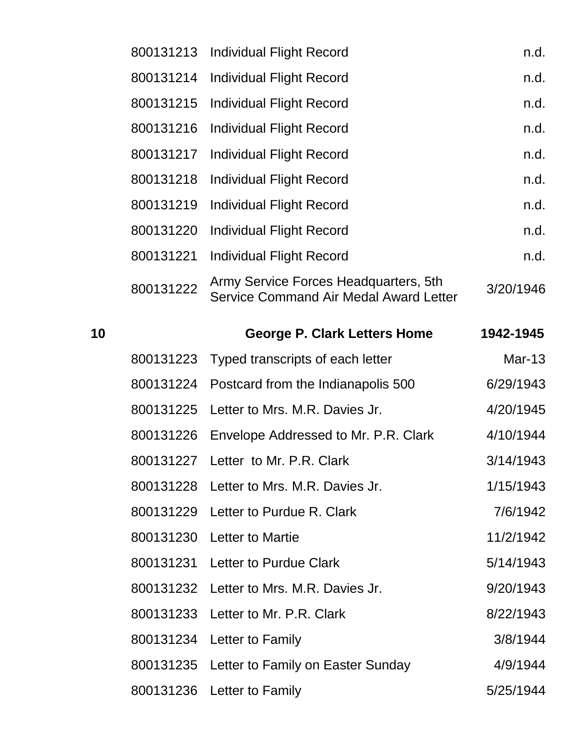|    | 800131213 | <b>Individual Flight Record</b>                                                 | n.d.          |
|----|-----------|---------------------------------------------------------------------------------|---------------|
|    | 800131214 | <b>Individual Flight Record</b>                                                 | n.d.          |
|    | 800131215 | <b>Individual Flight Record</b>                                                 | n.d.          |
|    | 800131216 | <b>Individual Flight Record</b>                                                 | n.d.          |
|    | 800131217 | <b>Individual Flight Record</b>                                                 | n.d.          |
|    | 800131218 | <b>Individual Flight Record</b>                                                 | n.d.          |
|    | 800131219 | Individual Flight Record                                                        | n.d.          |
|    | 800131220 | <b>Individual Flight Record</b>                                                 | n.d.          |
|    | 800131221 | <b>Individual Flight Record</b>                                                 | n.d.          |
|    | 800131222 | Army Service Forces Headquarters, 5th<br>Service Command Air Medal Award Letter | 3/20/1946     |
| 10 |           | <b>George P. Clark Letters Home</b>                                             | 1942-1945     |
|    | 800131223 | Typed transcripts of each letter                                                | <b>Mar-13</b> |
|    | 800131224 | Postcard from the Indianapolis 500                                              | 6/29/1943     |
|    | 800131225 | Letter to Mrs. M.R. Davies Jr.                                                  | 4/20/1945     |
|    | 800131226 | Envelope Addressed to Mr. P.R. Clark                                            | 4/10/1944     |
|    | 800131227 | Letter to Mr. P.R. Clark                                                        | 3/14/1943     |
|    | 800131228 | Letter to Mrs. M.R. Davies Jr.                                                  | 1/15/1943     |
|    | 800131229 | Letter to Purdue R. Clark                                                       | 7/6/1942      |
|    |           |                                                                                 |               |

800131231 Letter to Purdue Clark 5/14/1943 800131232 Letter to Mrs. M.R. Davies Jr. 9/20/1943

800131230 Letter to Martie 11/2/1942

800131233 Letter to Mr. P.R. Clark 8/22/1943 800131234 Letter to Family 3/8/1944

800131235 Letter to Family on Easter Sunday 4/9/1944 800131236 Letter to Family 6/25/1944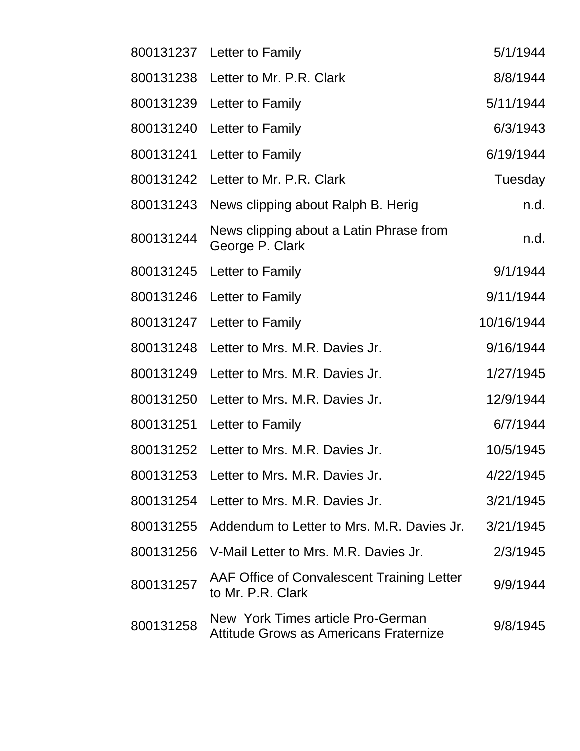|           | 800131237 Letter to Family                                                  | 5/1/1944   |
|-----------|-----------------------------------------------------------------------------|------------|
|           | 800131238 Letter to Mr. P.R. Clark                                          | 8/8/1944   |
| 800131239 | Letter to Family                                                            | 5/11/1944  |
|           | 800131240 Letter to Family                                                  | 6/3/1943   |
| 800131241 | Letter to Family                                                            | 6/19/1944  |
| 800131242 | Letter to Mr. P.R. Clark                                                    | Tuesday    |
| 800131243 | News clipping about Ralph B. Herig                                          | n.d.       |
| 800131244 | News clipping about a Latin Phrase from<br>George P. Clark                  | n.d.       |
| 800131245 | Letter to Family                                                            | 9/1/1944   |
|           | 800131246 Letter to Family                                                  | 9/11/1944  |
|           | 800131247 Letter to Family                                                  | 10/16/1944 |
|           | 800131248 Letter to Mrs. M.R. Davies Jr.                                    | 9/16/1944  |
| 800131249 | Letter to Mrs. M.R. Davies Jr.                                              | 1/27/1945  |
| 800131250 | Letter to Mrs. M.R. Davies Jr.                                              | 12/9/1944  |
|           | 800131251 Letter to Family                                                  | 6/7/1944   |
|           | 800131252 Letter to Mrs. M.R. Davies Jr.                                    | 10/5/1945  |
|           | 800131253 Letter to Mrs. M.R. Davies Jr.                                    | 4/22/1945  |
|           | 800131254 Letter to Mrs. M.R. Davies Jr.                                    | 3/21/1945  |
| 800131255 | Addendum to Letter to Mrs. M.R. Davies Jr.                                  | 3/21/1945  |
| 800131256 | V-Mail Letter to Mrs. M.R. Davies Jr.                                       | 2/3/1945   |
| 800131257 | AAF Office of Convalescent Training Letter<br>to Mr. P.R. Clark             | 9/9/1944   |
| 800131258 | New York Times article Pro-German<br>Attitude Grows as Americans Fraternize | 9/8/1945   |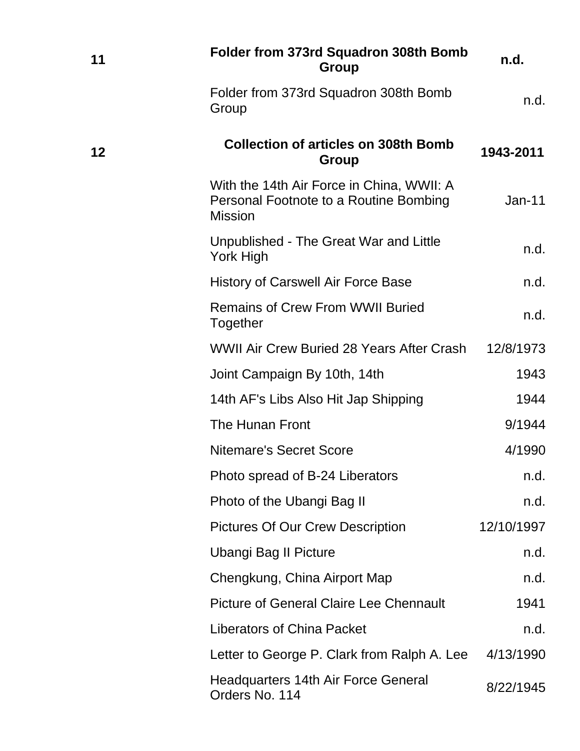| 11 | Folder from 373rd Squadron 308th Bomb<br>Group                                                        | n.d.       |
|----|-------------------------------------------------------------------------------------------------------|------------|
|    | Folder from 373rd Squadron 308th Bomb<br>Group                                                        | n.d.       |
| 12 | <b>Collection of articles on 308th Bomb</b><br>Group                                                  | 1943-2011  |
|    | With the 14th Air Force in China, WWII: A<br>Personal Footnote to a Routine Bombing<br><b>Mission</b> | $Jan-11$   |
|    | Unpublished - The Great War and Little<br>York High                                                   | n.d.       |
|    | <b>History of Carswell Air Force Base</b>                                                             | n.d.       |
|    | <b>Remains of Crew From WWII Buried</b><br>Together                                                   | n.d.       |
|    | WWII Air Crew Buried 28 Years After Crash                                                             | 12/8/1973  |
|    | Joint Campaign By 10th, 14th                                                                          | 1943       |
|    | 14th AF's Libs Also Hit Jap Shipping                                                                  | 1944       |
|    | The Hunan Front                                                                                       | 9/1944     |
|    | <b>Nitemare's Secret Score</b>                                                                        | 4/1990     |
|    | Photo spread of B-24 Liberators                                                                       | n.d.       |
|    | Photo of the Ubangi Bag II                                                                            | n.d.       |
|    | <b>Pictures Of Our Crew Description</b>                                                               | 12/10/1997 |
|    | <b>Ubangi Bag II Picture</b>                                                                          | n.d.       |
|    | Chengkung, China Airport Map                                                                          | n.d.       |
|    | <b>Picture of General Claire Lee Chennault</b>                                                        | 1941       |
|    | <b>Liberators of China Packet</b>                                                                     | n.d.       |
|    | Letter to George P. Clark from Ralph A. Lee                                                           | 4/13/1990  |
|    | <b>Headquarters 14th Air Force General</b><br>Orders No. 114                                          | 8/22/1945  |